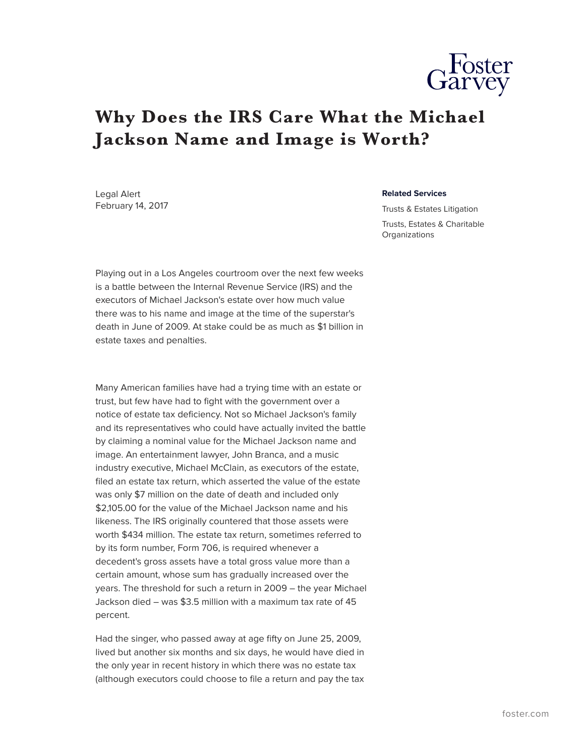

## **Why Does the IRS Care What the Michael Jackson Name and Image is Worth?**

Legal Alert February 14, 2017

## **Related Services**

Trusts & Estates Litigation Trusts, Estates & Charitable **Organizations** 

Playing out in a Los Angeles courtroom over the next few weeks is a battle between the Internal Revenue Service (IRS) and the executors of Michael Jackson's estate over how much value there was to his name and image at the time of the superstar's death in June of 2009. At stake could be as much as \$1 billion in estate taxes and penalties.

Many American families have had a trying time with an estate or trust, but few have had to fight with the government over a notice of estate tax deficiency. Not so Michael Jackson's family and its representatives who could have actually invited the battle by claiming a nominal value for the Michael Jackson name and image. An entertainment lawyer, John Branca, and a music industry executive, Michael McClain, as executors of the estate, filed an estate tax return, which asserted the value of the estate was only \$7 million on the date of death and included only \$2,105.00 for the value of the Michael Jackson name and his likeness. The IRS originally countered that those assets were worth \$434 million. The estate tax return, sometimes referred to by its form number, Form 706, is required whenever a decedent's gross assets have a total gross value more than a certain amount, whose sum has gradually increased over the years. The threshold for such a return in 2009 – the year Michael Jackson died – was \$3.5 million with a maximum tax rate of 45 percent.

Had the singer, who passed away at age fifty on June 25, 2009, lived but another six months and six days, he would have died in the only year in recent history in which there was no estate tax (although executors could choose to file a return and pay the tax